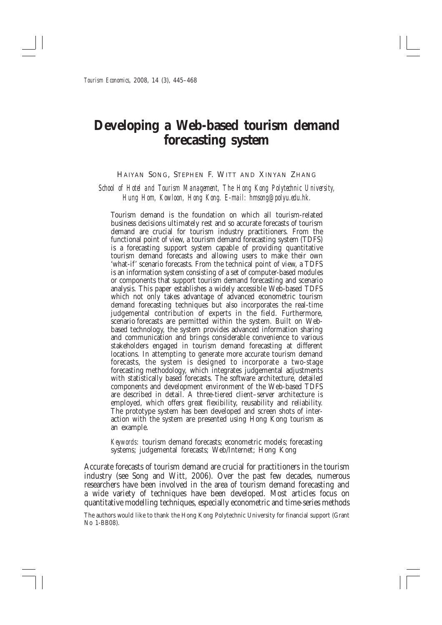# Developing a Web-based tourism demand forecasting system

#### HAIYAN SONG, STEPHEN F. WITT AND XINYAN ZHANG

School of Hotel and Tourism Management, The Hong Kong Polytechnic University, Hung Hom, Kowloon, Hong Kong. E-mail: hmsong@polyu.edu.hk.

Tourism demand is the foundation on which all tourism-related business decisions ultimately rest and so accurate forecasts of tourism demand are crucial for tourism industry practitioners. From the functional point of view, a tourism demand forecasting system (TDFS) is a forecasting support system capable of providing quantitative tourism demand forecasts and allowing users to make their own 'what-if' scenario forecasts. From the technical point of view, a TDFS is an information system consisting of a set of computer-based modules or components that support tourism demand forecasting and scenario analysis. This paper establishes a widely accessible Web-based TDFS which not only takes advantage of advanced econometric tourism demand forecasting techniques but also incorporates the real-time judgemental contribution of experts in the field. Furthermore, scenario forecasts are permitted within the system. Built on Webbased technology, the system provides advanced information sharing and communication and brings considerable convenience to various stakeholders engaged in tourism demand forecasting at different locations. In attempting to generate more accurate tourism demand forecasts, the system is designed to incorporate a two-stage forecasting methodology, which integrates judgemental adjustments with statistically based forecasts. The software architecture, detailed components and development environment of the Web-based TDFS are described in detail. A three-tiered client-server architecture is employed, which offers great flexibility, reusability and reliability. The prototype system has been developed and screen shots of interaction with the system are presented using Hong Kong tourism as an example.

*Keywords*: tourism demand forecasts; econometric models; forecasting systems; judgemental forecasts; Web/Internet; Hong Kong

Accurate forecasts of tourism demand are crucial for practitioners in the tourism industry (see Song and Witt, 2006). Over the past few decades, numerous researchers have been involved in the area of tourism demand forecasting and a wide variety of techniques have been developed. Most articles focus on quantitative modelling techniques, especially econometric and time-series methods

The authors would like to thank the Hong Kong Polytechnic University for financial support (Grant No 1-BB08).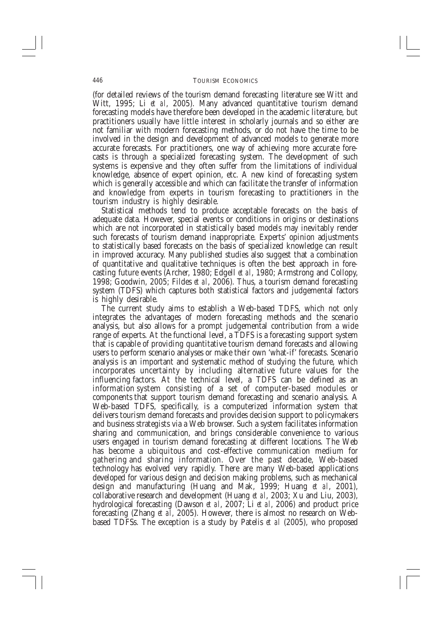(for detailed reviews of the tourism demand forecasting literature see Witt and Witt, 1995; Li et al, 2005). Many advanced quantitative tourism demand forecasting models have therefore been developed in the academic literature, but practitioners usually have little interest in scholarly journals and so either are not familiar with modern forecasting methods, or do not have the time to be involved in the design and development of advanced models to generate more accurate forecasts. For practitioners, one way of achieving more accurate forecasts is through a specialized forecasting system. The development of such systems is expensive and they often suffer from the limitations of individual knowledge, absence of expert opinion, etc. A new kind of forecasting system which is generally accessible and which can facilitate the transfer of information and knowledge from experts in tourism forecasting to practitioners in the tourism industry is highly desirable.

Statistical methods tend to produce acceptable forecasts on the basis of adequate data. However, special events or conditions in origins or destinations which are not incorporated in statistically based models may inevitably render such forecasts of tourism demand inappropriate. Experts' opinion adjustments to statistically based forecasts on the basis of specialized knowledge can result in improved accuracy. Many published studies also suggest that a combination of quantitative and qualitative techniques is often the best approach in forecasting future events (Archer, 1980; Edgell et al, 1980; Armstrong and Collopy, 1998; Goodwin, 2005; Fildes et al, 2006). Thus, a tourism demand forecasting system (TDFS) which captures both statistical factors and judgemental factors is highly desirable.

The current study aims to establish a Web-based TDFS, which not only integrates the advantages of modern forecasting methods and the scenario analysis, but also allows for a prompt judgemental contribution from a wide range of experts. At the functional level, a TDFS is a forecasting support system that is capable of providing quantitative tourism demand forecasts and allowing users to perform scenario analyses or make their own 'what-if' forecasts. Scenario analysis is an important and systematic method of studying the future, which incorporates uncertainty by including alternative future values for the influencing factors. At the technical level, a TDFS can be defined as an information system consisting of a set of computer-based modules or components that support tourism demand forecasting and scenario analysis. A Web-based TDFS, specifically, is a computerized information system that delivers tourism demand forecasts and provides decision support to policymakers and business strategists via a Web browser. Such a system facilitates information sharing and communication, and brings considerable convenience to various users engaged in tourism demand forecasting at different locations. The Web has become a ubiquitous and cost-effective communication medium for gathering and sharing information. Over the past decade, Web-based technology has evolved very rapidly. There are many Web-based applications developed for various design and decision making problems, such as mechanical design and manufacturing (Huang and Mak, 1999; Huang et al, 2001), collaborative research and development (Huang et al, 2003; Xu and Liu, 2003), hydrological forecasting (Dawson et al, 2007; Li et al, 2006) and product price forecasting (Zhang et al. 2005). However, there is almost no research on Webbased TDFSs. The exception is a study by Patelis *et al* (2005), who proposed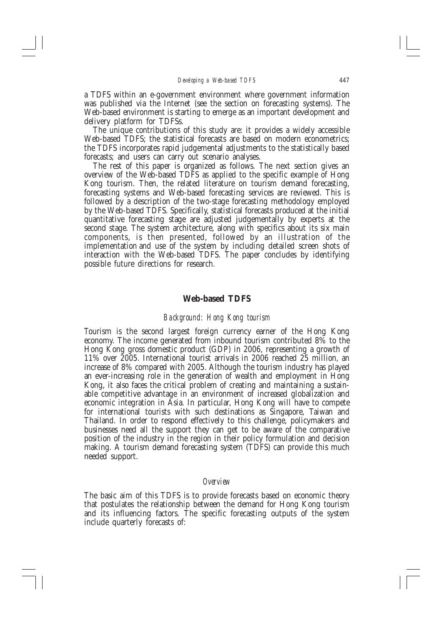a TDFS within an e-government environment where government information was published via the Internet (see the section on forecasting systems). The Web-based environment is starting to emerge as an important development and delivery platform for TDFSs.

The unique contributions of this study are: it provides a widely accessible Web-based TDFS; the statistical forecasts are based on modern econometrics; the TDFS incorporates rapid judgemental adjustments to the statistically based forecasts; and users can carry out scenario analyses.

The rest of this paper is organized as follows. The next section gives an overview of the Web-based TDFS as applied to the specific example of Hong Kong tourism. Then, the related literature on tourism demand forecasting, forecasting systems and Web-based forecasting services are reviewed. This is followed by a description of the two-stage forecasting methodology employed by the Web-based TDFS. Specifically, statistical forecasts produced at the initial quantitative forecasting stage are adjusted judgementally by experts at the second stage. The system architecture, along with specifics about its six main components, is then presented, followed by an illustration of the implementation and use of the system by including detailed screen shots of interaction with the Web-based TDFS. The paper concludes by identifying possible future directions for research.

## **Web-based TDFS**

### Background: Hong Kong tourism

Tourism is the second largest foreign currency earner of the Hong Kong economy. The income generated from inbound tourism contributed 8% to the Hong Kong gross domestic product (GDP) in 2006, representing a growth of 11% over 2005. International tourist arrivals in 2006 reached 25 million, an increase of 8% compared with 2005. Although the tourism industry has played an ever-increasing role in the generation of wealth and employment in Hong Kong, it also faces the critical problem of creating and maintaining a sustainable competitive advantage in an environment of increased globalization and economic integration in Asia. In particular, Hong Kong will have to compete for international tourists with such destinations as Singapore, Taiwan and Thailand. In order to respond effectively to this challenge, policymakers and businesses need all the support they can get to be aware of the comparative position of the industry in the region in their policy formulation and decision making. A tourism demand forecasting system (TDFS) can provide this much needed support.

#### Overview

The basic aim of this TDFS is to provide forecasts based on economic theory that postulates the relationship between the demand for Hong Kong tourism and its influencing factors. The specific forecasting outputs of the system include quarterly forecasts of: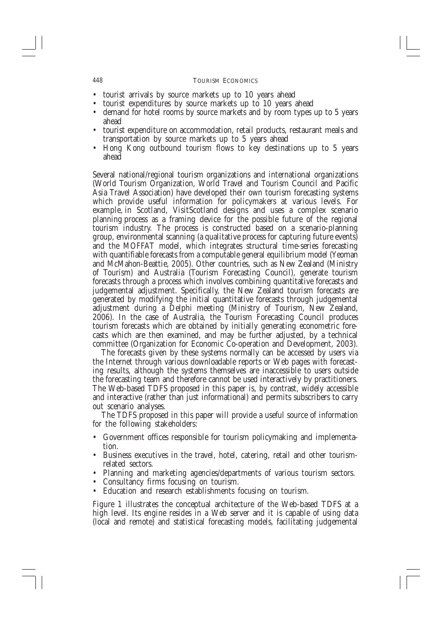- tourist arrivals by source markets up to 10 years ahead
- tourist expenditures by source markets up to 10 years ahead  $\bullet$
- demand for hotel rooms by source markets and by room types up to 5 years ahead
- tourist expenditure on accommodation, retail products, restaurant meals and transportation by source markets up to 5 years ahead
- Hong Kong outbound tourism flows to key destinations up to 5 years ahead

Several national/regional tourism organizations and international organizations (World Tourism Organization, World Travel and Tourism Council and Pacific Asia Travel Association) have developed their own tourism forecasting systems which provide useful information for policymakers at various levels. For example, in Scotland, VisitScotland designs and uses a complex scenario planning process as a framing device for the possible future of the regional tourism industry. The process is constructed based on a scenario-planning group, environmental scanning (a qualitative process for capturing future events) and the MOFFAT model, which integrates structural time-series forecasting with quantifiable forecasts from a computable general equilibrium model (Yeoman and McMahon-Beattie, 2005). Other countries, such as New Zealand (Ministry of Tourism) and Australia (Tourism Forecasting Council), generate tourism forecasts through a process which involves combining quantitative forecasts and judgemental adjustment. Specifically, the New Zealand tourism forecasts are generated by modifying the initial quantitative forecasts through judgemental adjustment during a Delphi meeting (Ministry of Tourism, New Zealand, 2006). In the case of Australia, the Tourism Forecasting Council produces tourism forecasts which are obtained by initially generating econometric forecasts which are then examined, and may be further adjusted, by a technical committee (Organization for Economic Co-operation and Development, 2003).

The forecasts given by these systems normally can be accessed by users via the Internet through various downloadable reports or Web pages with forecasting results, although the systems themselves are inaccessible to users outside the forecasting team and therefore cannot be used interactively by practitioners. The Web-based TDFS proposed in this paper is, by contrast, widely accessible and interactive (rather than just informational) and permits subscribers to carry out scenario analyses.

The TDFS proposed in this paper will provide a useful source of information for the following stakeholders:

- Government offices responsible for tourism policymaking and implementation.
- Business executives in the travel, hotel, catering, retail and other tourismrelated sectors.
- Planning and marketing agencies/departments of various tourism sectors.
- Consultancy firms focusing on tourism.  $\bullet$
- Education and research establishments focusing on tourism.

Figure 1 illustrates the conceptual architecture of the Web-based TDFS at a high level. Its engine resides in a Web server and it is capable of using data (local and remote) and statistical forecasting models, facilitating judgemental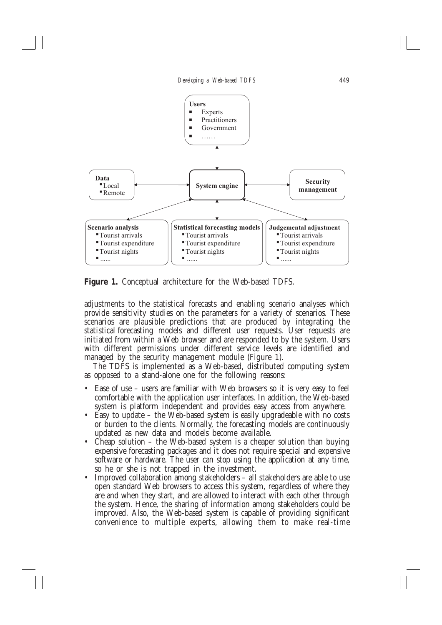

Figure 1. Conceptual architecture for the Web-based TDFS.

adjustments to the statistical forecasts and enabling scenario analyses which provide sensitivity studies on the parameters for a variety of scenarios. These scenarios are plausible predictions that are produced by integrating the statistical forecasting models and different user requests. User requests are initiated from within a Web browser and are responded to by the system. Users with different permissions under different service levels are identified and managed by the security management module (Figure 1).

The TDFS is implemented as a Web-based, distributed computing system as opposed to a stand-alone one for the following reasons:

- Ease of use users are familiar with Web browsers so it is very easy to feel comfortable with the application user interfaces. In addition, the Web-based system is platform independent and provides easy access from anywhere.
- Easy to update the Web-based system is easily upgradeable with no costs or burden to the clients. Normally, the forecasting models are continuously updated as new data and models become available.
- Cheap solution  $-$  the Web-based system is a cheaper solution than buying expensive forecasting packages and it does not require special and expensive software or hardware. The user can stop using the application at any time, so he or she is not trapped in the investment.
- Improved collaboration among stakeholders all stakeholders are able to use open standard Web browsers to access this system, regardless of where they are and when they start, and are allowed to interact with each other through the system. Hence, the sharing of information among stakeholders could be improved. Also, the Web-based system is capable of providing significant convenience to multiple experts, allowing them to make real-time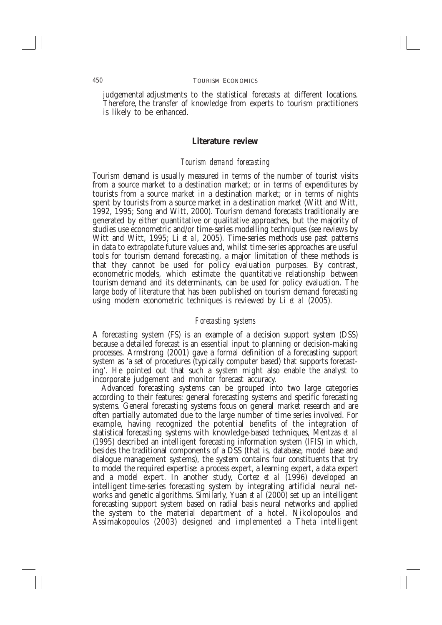judgemental adjustments to the statistical forecasts at different locations. Therefore, the transfer of knowledge from experts to tourism practitioners is likely to be enhanced.

#### Literature review

#### Tourism demand forecasting

Tourism demand is usually measured in terms of the number of tourist visits from a source market to a destination market; or in terms of expenditures by tourists from a source market in a destination market; or in terms of nights spent by tourists from a source market in a destination market (Witt and Witt, 1992, 1995; Song and Witt, 2000). Tourism demand forecasts traditionally are generated by either quantitative or qualitative approaches, but the majority of studies use econometric and/or time-series modelling techniques (see reviews by Witt and Witt, 1995; Li et al, 2005). Time-series methods use past patterns in data to extrapolate future values and, whilst time-series approaches are useful tools for tourism demand forecasting, a major limitation of these methods is that they cannot be used for policy evaluation purposes. By contrast, econometric models, which estimate the quantitative relationship between tourism demand and its determinants, can be used for policy evaluation. The large body of literature that has been published on tourism demand forecasting using modern econometric techniques is reviewed by Li et al  $(2005)$ .

#### Forecasting systems

A forecasting system (FS) is an example of a decision support system (DSS) because a detailed forecast is an essential input to planning or decision-making processes. Armstrong (2001) gave a formal definition of a forecasting support system as 'a set of procedures (typically computer based) that supports forecasting'. He pointed out that such a system might also enable the analyst to incorporate judgement and monitor forecast accuracy.

Advanced forecasting systems can be grouped into two large categories according to their features: general forecasting systems and specific forecasting systems. General forecasting systems focus on general market research and are often partially automated due to the large number of time series involved. For example, having recognized the potential benefits of the integration of statistical forecasting systems with knowledge-based techniques, Mentzas et al (1995) described an intelligent forecasting information system (IFIS) in which, besides the traditional components of a DSS (that is, database, model base and dialogue management systems), the system contains four constituents that try to model the required expertise: a process expert, a learning expert, a data expert and a model expert. In another study, Cortez et al (1996) developed an intelligent time-series forecasting system by integrating artificial neural networks and genetic algorithms. Similarly, Yuan et al (2000) set up an intelligent forecasting support system based on radial basis neural networks and applied the system to the material department of a hotel. Nikolopoulos and Assimakopoulos (2003) designed and implemented a Theta intelligent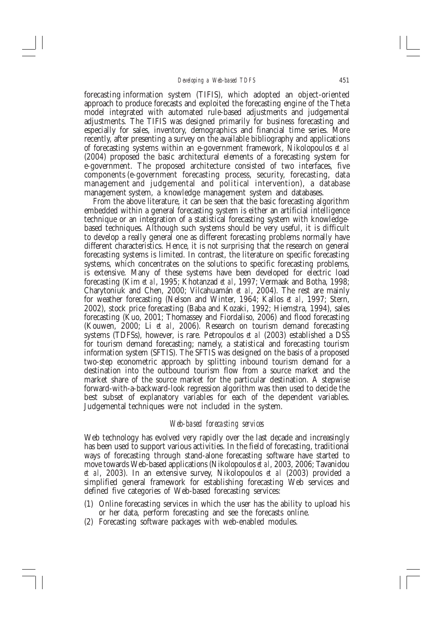forecasting information system (TIFIS), which adopted an object-oriented approach to produce forecasts and exploited the forecasting engine of the Theta model integrated with automated rule-based adjustments and judgemental adjustments. The TIFIS was designed primarily for business forecasting and especially for sales, inventory, demographics and financial time series. More recently, after presenting a survey on the available bibliography and applications of forecasting systems within an e-government framework, Nikolopoulos et al (2004) proposed the basic architectural elements of a forecasting system for e-government. The proposed architecture consisted of two interfaces, five components (e-government forecasting process, security, forecasting, data management and judgemental and political intervention), a database management system, a knowledge management system and databases.

From the above literature, it can be seen that the basic forecasting algorithm embedded within a general forecasting system is either an artificial intelligence technique or an integration of a statistical forecasting system with knowledgebased techniques. Although such systems should be very useful, it is difficult to develop a really general one as different forecasting problems normally have different characteristics. Hence, it is not surprising that the research on general forecasting systems is limited. In contrast, the literature on specific forecasting systems, which concentrates on the solutions to specific forecasting problems, is extensive. Many of these systems have been developed for electric load forecasting (Kim et al, 1995; Khotanzad et al, 1997; Vermaak and Botha, 1998; Charytoniuk and Chen, 2000; Vilcahuamán et al, 2004). The rest are mainly for weather forecasting (Nelson and Winter, 1964; Kallos et al, 1997; Stern, 2002), stock price forecasting (Baba and Kozaki, 1992; Hiemstra, 1994), sales forecasting (Kuo, 2001; Thomassey and Fiordaliso, 2006) and flood forecasting (Kouwen, 2000; Li et al, 2006). Research on tourism demand forecasting systems (TDFSs), however, is rare. Petropoulos *et al* (2003) established a DSS for tourism demand forecasting; namely, a statistical and forecasting tourism information system (SFTIS). The SFTIS was designed on the basis of a proposed two-step econometric approach by splitting inbound tourism demand for a destination into the outbound tourism flow from a source market and the market share of the source market for the particular destination. A stepwise forward-with-a-backward-look regression algorithm was then used to decide the best subset of explanatory variables for each of the dependent variables. Judgemental techniques were not included in the system.

### Web-based forecasting services

Web technology has evolved very rapidly over the last decade and increasingly has been used to support various activities. In the field of forecasting, traditional ways of forecasting through stand-alone forecasting software have started to move towards Web-based applications (Nikolopoulos et al, 2003, 2006; Tavanidou et al, 2003). In an extensive survey, Nikolopoulos et al (2003) provided a simplified general framework for establishing forecasting Web services and defined five categories of Web-based forecasting services:

- (1) Online forecasting services in which the user has the ability to upload his or her data, perform forecasting and see the forecasts online.
- (2) Forecasting software packages with web-enabled modules.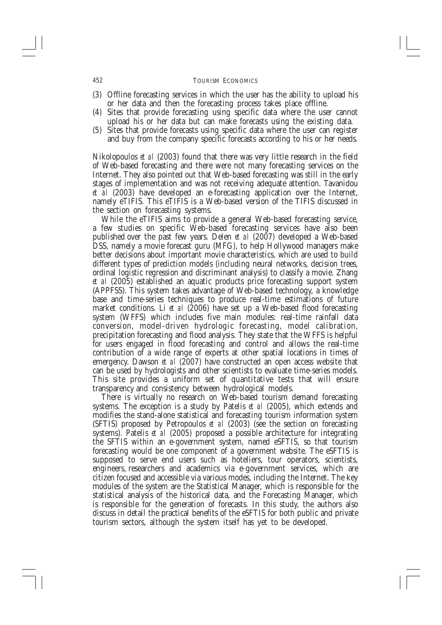- (3) Offline forecasting services in which the user has the ability to upload his or her data and then the forecasting process takes place offline.
- (4) Sites that provide forecasting using specific data where the user cannot upload his or her data but can make forecasts using the existing data.
- (5) Sites that provide forecasts using specific data where the user can register and buy from the company specific forecasts according to his or her needs.

Nikolopoulos et al (2003) found that there was very little research in the field of Web-based forecasting and there were not many forecasting services on the Internet. They also pointed out that Web-based forecasting was still in the early stages of implementation and was not receiving adequate attention. Tavanidou et al (2003) have developed an e-forecasting application over the Internet, namely eTIFIS. This eTIFIS is a Web-based version of the TIFIS discussed in the section on forecasting systems.

While the eTIFIS aims to provide a general Web-based forecasting service, a few studies on specific Web-based forecasting services have also been published over the past few years. Delen et al (2007) developed a Web-based DSS, namely a movie forecast guru (MFG), to help Hollywood managers make better decisions about important movie characteristics, which are used to build different types of prediction models (including neural networks, decision trees, ordinal logistic regression and discriminant analysis) to classify a movie. Zhang et al (2005) established an aquatic products price forecasting support system (APPFSS). This system takes advantage of Web-based technology, a knowledge base and time-series techniques to produce real-time estimations of future market conditions. Li et al  $(2006)$  have set up a Web-based flood forecasting system (WFFS) which includes five main modules: real-time rainfall data conversion, model-driven hydrologic forecasting, model calibration, precipitation forecasting and flood analysis. They state that the WFFS is helpful for users engaged in flood forecasting and control and allows the real-time contribution of a wide range of experts at other spatial locations in times of emergency. Dawson et al (2007) have constructed an open access website that can be used by hydrologists and other scientists to evaluate time-series models. This site provides a uniform set of quantitative tests that will ensure transparency and consistency between hydrological models.

There is virtually no research on Web-based tourism demand forecasting systems. The exception is a study by Patelis et al (2005), which extends and modifies the stand-alone statistical and forecasting tourism information system (SFTIS) proposed by Petropoulos et al (2003) (see the section on forecasting systems). Patelis et al  $(2005)$  proposed a possible architecture for integrating the SFTIS within an e-government system, named eSFTIS, so that tourism forecasting would be one component of a government website. The eSFTIS is supposed to serve end users such as hoteliers, tour operators, scientists, engineers, researchers and academics via e-government services, which are citizen focused and accessible via various modes, including the Internet. The key modules of the system are the Statistical Manager, which is responsible for the statistical analysis of the historical data, and the Forecasting Manager, which is responsible for the generation of forecasts. In this study, the authors also discuss in detail the practical benefits of the eSFTIS for both public and private tourism sectors, although the system itself has yet to be developed.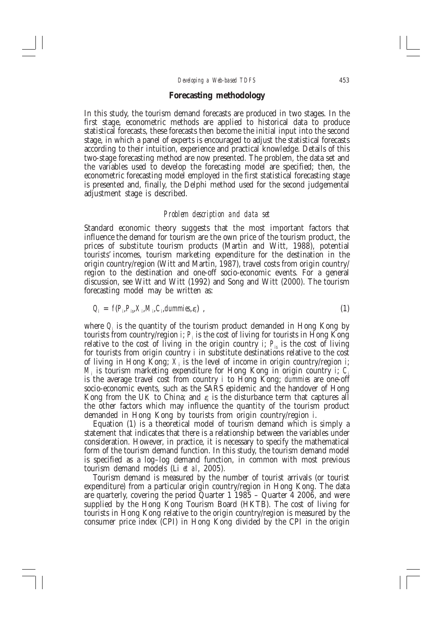### **Forecasting methodology**

In this study, the tourism demand forecasts are produced in two stages. In the first stage, econometric methods are applied to historical data to produce statistical forecasts, these forecasts then become the initial input into the second stage, in which a panel of experts is encouraged to adjust the statistical forecasts according to their intuition, experience and practical knowledge. Details of this two-stage forecasting method are now presented. The problem, the data set and the variables used to develop the forecasting model are specified; then, the econometric forecasting model employed in the first statistical forecasting stage is presented and, finally, the Delphi method used for the second judgemental adjustment stage is described.

#### Problem description and data set

Standard economic theory suggests that the most important factors that influence the demand for tourism are the own price of the tourism product, the prices of substitute tourism products (Martin and Witt, 1988), potential tourists' incomes, tourism marketing expenditure for the destination in the origin country/region (Witt and Martin, 1987), travel costs from origin country/ region to the destination and one-off socio-economic events. For a general discussion, see Witt and Witt (1992) and Song and Witt (2000). The tourism forecasting model may be written as:

$$
Q_i = f(P_i, P_i, X_i, M_i, C_i, \text{dummies}, \varepsilon_i) \tag{1}
$$

where  $Q_i$  is the quantity of the tourism product demanded in Hong Kong by tourists from country/region *i*;  $P_i$  is the cost of living for tourists in Hong Kong relative to the cost of living in the origin country *i*;  $P_{i}$  is the cost of living for tourists from origin country  $i$  in substitute destinations relative to the cost of living in Hong Kong;  $X_i$  is the level of income in origin country/region i;  $M_i$  is tourism marketing expenditure for Hong Kong in origin country i;  $C_i$ is the average travel cost from country *i* to Hong Kong; dummies are one-off socio-economic events, such as the SARS epidemic and the handover of Hong Kong from the UK to China; and  $\varepsilon_i$  is the disturbance term that captures all the other factors which may influence the quantity of the tourism product demanded in Hong Kong by tourists from origin country/region i.

Equation (1) is a theoretical model of tourism demand which is simply a statement that indicates that there is a relationship between the variables under consideration. However, in practice, it is necessary to specify the mathematical form of the tourism demand function. In this study, the tourism demand model is specified as a log-log demand function, in common with most previous tourism demand models (Li et al. 2005).

Tourism demand is measured by the number of tourist arrivals (or tourist expenditure) from a particular origin country/region in Hong Kong. The data are quarterly, covering the period Quarter  $1\overline{1}985$  – Quarter  $\overline{4}$  2006, and were supplied by the Hong Kong Tourism Board (HKTB). The cost of living for tourists in Hong Kong relative to the origin country/region is measured by the consumer price index (CPI) in Hong Kong divided by the CPI in the origin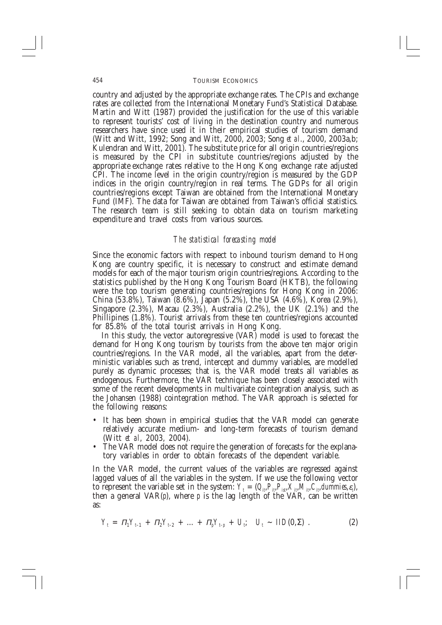#### **TOURISM ECONOMICS**

country and adjusted by the appropriate exchange rates. The CPIs and exchange rates are collected from the International Monetary Fund's Statistical Database. Martin and Witt (1987) provided the justification for the use of this variable to represent tourists' cost of living in the destination country and numerous researchers have since used it in their empirical studies of tourism demand (Witt and Witt, 1992; Song and Witt, 2000, 2003; Song et al., 2000, 2003a,b; Kulendran and Witt, 2001). The substitute price for all origin countries/regions is measured by the CPI in substitute countries/regions adjusted by the appropriate exchange rates relative to the Hong Kong exchange rate adjusted CPI. The income level in the origin country/region is measured by the GDP indices in the origin country/region in real terms. The GDPs for all origin countries/regions except Taiwan are obtained from the International Monetary Fund (IMF). The data for Taiwan are obtained from Taiwan's official statistics. The research team is still seeking to obtain data on tourism marketing expenditure and travel costs from various sources.

### The statistical forecasting model

Since the economic factors with respect to inbound tourism demand to Hong<br>Kong are country specific, it is necessary to construct and estimate demand models for each of the major tourism origin countries/regions. According to the statistics published by the Hong Kong Tourism Board (HKTB), the following were the top tourism generating countries/regions for Hong Kong in 2006:<br>China (53.8%), Taiwan (8.6%), Japan (5.2%), the USA (4.6%), Korea (2.9%),<br>Singapore (2.3%), Macau (2.3%), Australia (2.2%), the UK (2.1%) and the Phillipines (1.8%). Tourist arrivals from these ten countries/regions accounted for 85.8% of the total tourist arrivals in Hong Kong.

In this study, the vector autoregressive (VAR) model is used to forecast the demand for Hong Kong tourism by tourists from the above ten major origin countries/regions. In the VAR model, all the variables, apart from the deterministic variables such as trend, intercept and dummy variables, are modelled<br>purely as dynamic processes; that is, the VAR model treats all variables as endogenous. Furthermore, the VAR technique has been closely associated with some of the recent developments in multivariate cointegration analysis, such as the Johansen (1988) cointegration method. The VAR approach is selected for the following reasons:

- It has been shown in empirical studies that the VAR model can generate relatively accurate medium- and long-term forecasts of tourism demand (Witt et al, 2003, 2004).
- The VAR model does not require the generation of forecasts for the explanatory variables in order to obtain forecasts of the dependent variable.

In the VAR model, the current values of the variables are regressed against lagged values of all the variables in the system. If we use the following vector to represent the variable set in the system:  $Y_t = (Q_{it} P_{it} P_{is} X_{it} M_{it} C_{it} d_{t} m_{it} m_{it} \epsilon_{st})$ ,<br>then a general VAR(p), where p is the lag length of the VAR, can be written as:

$$
Y_t = \Pi_1 Y_{t-1} + \Pi_2 Y_{t-2} + \dots + \Pi_p Y_{t-p} + U_p; \quad U_t \sim \text{IID}(0, \Sigma) \tag{2}
$$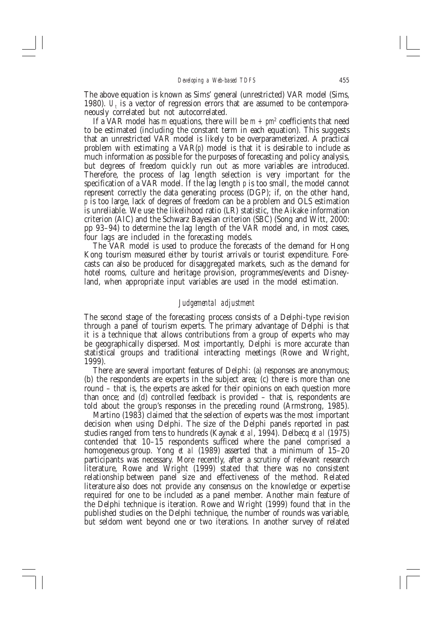The above equation is known as Sims' general (unrestricted) VAR model (Sims, 1980).  $U_t$  is a vector of regression errors that are assumed to be contemporaneously correlated but not autocorrelated.

If a VAR model has m equations, there will be  $m + pm^2$  coefficients that need to be estimated (including the constant term in each equation). This suggests that an unrestricted VAR model is likely to be overparameterized. A practical problem with estimating a  $VAR(p)$  model is that it is desirable to include as much information as possible for the purposes of forecasting and policy analysis, but degrees of freedom quickly run out as more variables are introduced. Therefore, the process of lag length selection is very important for the specification of a VAR model. If the lag length  $p$  is too small, the model cannot represent correctly the data generating process (DGP); if, on the other hand,  $p$  is too large, lack of degrees of freedom can be a problem and OLS estimation is unreliable. We use the likelihood ratio (LR) statistic, the Aikake information criterion (AIC) and the Schwarz Bayesian criterion (SBC) (Song and Witt, 2000: pp 93-94) to determine the lag length of the VAR model and, in most cases, four lags are included in the forecasting models.

The VAR model is used to produce the forecasts of the demand for Hong Kong tourism measured either by tourist arrivals or tourist expenditure. Forecasts can also be produced for disaggregated markets, such as the demand for hotel rooms, culture and heritage provision, programmes/events and Disneyland, when appropriate input variables are used in the model estimation.

### Judgemental adjustment

The second stage of the forecasting process consists of a Delphi-type revision through a panel of tourism experts. The primary advantage of Delphi is that it is a technique that allows contributions from a group of experts who may be geographically dispersed. Most importantly, Delphi is more accurate than statistical groups and traditional interacting meetings (Rowe and Wright, 1999).

There are several important features of Delphi: (a) responses are anonymous; (b) the respondents are experts in the subject area; (c) there is more than one round - that is, the experts are asked for their opinions on each question more than once; and (d) controlled feedback is provided - that is, respondents are told about the group's responses in the preceding round (Armstrong, 1985).

Martino (1983) claimed that the selection of experts was the most important decision when using Delphi. The size of the Delphi panels reported in past studies ranged from tens to hundreds (Kaynak et al, 1994). Delbecq et al (1975) contended that 10–15 respondents sufficed where the panel comprised a homogeneous group. Yong et al (1989) asserted that a minimum of 15-20 participants was necessary. More recently, after a scrutiny of relevant research literature, Rowe and Wright (1999) stated that there was no consistent relationship between panel size and effectiveness of the method. Related literature also does not provide any consensus on the knowledge or expertise required for one to be included as a panel member. Another main feature of the Delphi technique is iteration. Rowe and Wright (1999) found that in the published studies on the Delphi technique, the number of rounds was variable, but seldom went beyond one or two iterations. In another survey of related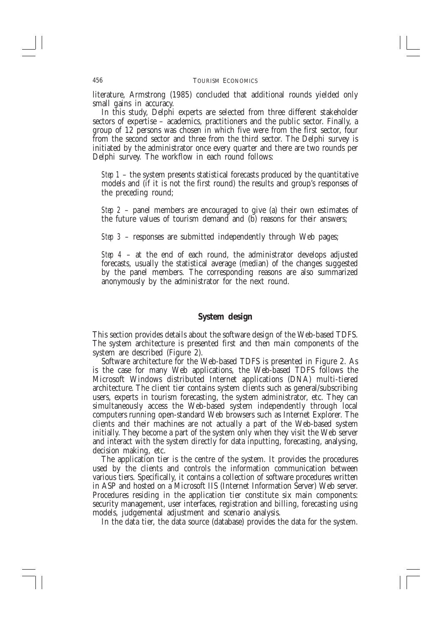literature, Armstrong (1985) concluded that additional rounds yielded only small gains in accuracy.

In this study, Delphi experts are selected from three different stakeholder sectors of expertise – academics, practitioners and the public sector. Finally, a group of 12 persons was chosen in which five were from the first sector, four from the second sector and three from the third sector. The Delphi survey is initiated by the administrator once every quarter and there are two rounds per Delphi survey. The workflow in each round follows:

*Step 1* – the system presents statistical forecasts produced by the quantitative models and (if it is not the first round) the results and group's responses of the preceding round;

*Step 2* – panel members are encouraged to give (a) their own estimates of the future values of tourism demand and (b) reasons for their answers;

*Step 3* – responses are submitted independently through Web pages;

Step  $4$  – at the end of each round, the administrator develops adjusted forecasts, usually the statistical average (median) of the changes suggested by the panel members. The corresponding reasons are also summarized anonymously by the administrator for the next round.

# System design

This section provides details about the software design of the Web-based TDFS. The system architecture is presented first and then main components of the system are described (Figure 2).

Software architecture for the Web-based TDFS is presented in Figure 2. As is the case for many Web applications, the Web-based TDFS follows the Microsoft Windows distributed Internet applications (DNA) multi-tiered architecture. The client tier contains system clients such as general/subscribing users, experts in tourism forecasting, the system administrator, etc. They can simultaneously access the Web-based system independently through local computers running open-standard Web browsers such as Internet Explorer. The clients and their machines are not actually a part of the Web-based system initially. They become a part of the system only when they visit the Web server and interact with the system directly for data inputting, forecasting, analysing, decision making, etc.

The application tier is the centre of the system. It provides the procedures used by the clients and controls the information communication between various tiers. Specifically, it contains a collection of software procedures written in ASP and hosted on a Microsoft IIS (Internet Information Server) Web server. Procedures residing in the application tier constitute six main components: security management, user interfaces, registration and billing, forecasting using models, judgemental adjustment and scenario analysis.

In the data tier, the data source (database) provides the data for the system.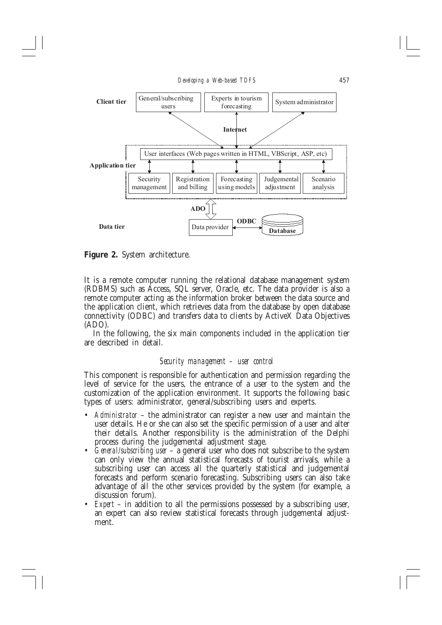

**Figure 2.** System architecture.

It is a remote computer running the relational database management system (RDBMS) such as Access, SQL server, Oracle, etc. The data provider is also a remote computer acting as the information broker between the data source and the application client, which retrieves data from the database by open database connectivity (ODBC) and transfers data to clients by ActiveX Data Objectives  $(ADO).$ 

In the following, the six main components included in the application tier are described in detail.

# Security management – user control

This component is responsible for authentication and permission regarding the level of service for the users, the entrance of a user to the system and the customization of the application environment. It supports the following basic types of users: administrator, general/subscribing users and experts.

- Administrator the administrator can register a new user and maintain the user details. He or she can also set the specific permission of a user and alter their details. Another responsibility is the administration of the Delphi process during the judgemental adjustment stage.
- *Ceneral/subscribing user*  $-$  a general user who does not subscribe to the system can only view the annual statistical forecasts of tourist arrivals, while a subscribing user can access all the quarterly statistical and judgemental forecasts and perform scenario forecasting. Subscribing users can also take advantage of all the other services provided by the system (for example, a discussion forum).
- $Expert$  in addition to all the permissions possessed by a subscribing user, an expert can also review statistical forecasts through judgemental adjustment.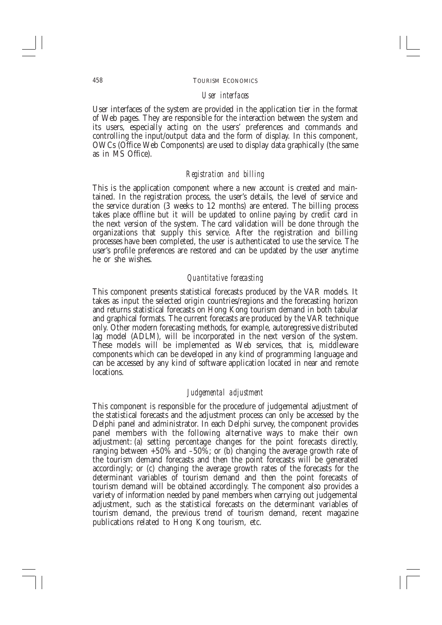### User interfaces

User interfaces of the system are provided in the application tier in the format of Web pages. They are responsible for the interaction between the system and its users, especially acting on the users' preferences and commands and controlling the input/output data and the form of display. In this component, OWCs (Office Web Components) are used to display data graphically (the same as in MS Office).

## Registration and billing

This is the application component where a new account is created and maintained. In the registration process, the user's details, the level of service and the service duration (3 weeks to 12 months) are entered. The billing process takes place offline but it will be updated to online paying by credit card in the next version of the system. The card validation will be done through the organizations that supply this service. After the registration and billing processes have been completed, the user is authenticated to use the service. The user's profile preferences are restored and can be updated by the user anytime he or she wishes.

## Quantitative forecasting

This component presents statistical forecasts produced by the VAR models. It takes as input the selected origin countries/regions and the forecasting horizon and returns statistical forecasts on Hong Kong tourism demand in both tabular and graphical formats. The current forecasts are produced by the VAR technique only. Other modern forecasting methods, for example, autoregressive distributed lag model (ADLM), will be incorporated in the next version of the system. These models will be implemented as Web services, that is, middleware components which can be developed in any kind of programming language and can be accessed by any kind of software application located in near and remote locations.

### Judgemental adjustment

This component is responsible for the procedure of judgemental adjustment of the statistical forecasts and the adjustment process can only be accessed by the Delphi panel and administrator. In each Delphi survey, the component provides panel members with the following alternative ways to make their own adjustment: (a) setting percentage changes for the point forecasts directly, ranging between  $+50\%$  and  $-50\%$ ; or (b) changing the average growth rate of the tourism demand forecasts and then the point forecasts will be generated accordingly; or (c) changing the average growth rates of the forecasts for the determinant variables of tourism demand and then the point forecasts of tourism demand will be obtained accordingly. The component also provides a variety of information needed by panel members when carrying out judgemental adjustment, such as the statistical forecasts on the determinant variables of tourism demand, the previous trend of tourism demand, recent magazine publications related to Hong Kong tourism, etc.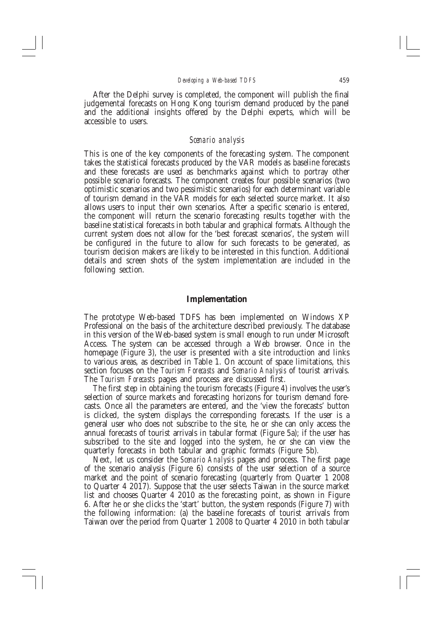After the Delphi survey is completed, the component will publish the final judgemental forecasts on Hong Kong tourism demand produced by the panel and the additional insights offered by the Delphi experts, which will be accessible to users.

#### Scenario analysis

This is one of the key components of the forecasting system. The component takes the statistical forecasts produced by the VAR models as baseline forecasts and these forecasts are used as benchmarks against which to portray other possible scenario forecasts. The component creates four possible scenarios (two optimistic scenarios and two pessimistic scenarios) for each determinant variable of tourism demand in the VÅR models for each selected source market. It also allows users to input their own scenarios. After a specific scenario is entered, the component will return the scenario forecasting results together with the baseline statistical forecasts in both tabular and graphical formats. Although the current system does not allow for the 'best forecast scenarios', the system will be configured in the future to allow for such forecasts to be generated, as tourism decision makers are likely to be interested in this function. Additional details and screen shots of the system implementation are included in the following section.

#### Implementation

The prototype Web-based TDFS has been implemented on Windows XP Professional on the basis of the architecture described previously. The database in this version of the Web-based system is small enough to run under Microsoft Access. The system can be accessed through a Web browser. Once in the homepage (Figure 3), the user is presented with a site introduction and links to various areas, as described in Table 1. On account of space limitations, this section focuses on the Tourism Forecasts and Scenario Analysis of tourist arrivals. The Tourism Forecasts pages and process are discussed first.

The first step in obtaining the tourism forecasts (Figure 4) involves the user's selection of source markets and forecasting horizons for tourism demand forecasts. Once all the parameters are entered, and the 'view the forecasts' button is clicked, the system displays the corresponding forecasts. If the user is a general user who does not subscribe to the site, he or she can only access the annual forecasts of tourist arrivals in tabular format (Figure 5a); if the user has subscribed to the site and logged into the system, he or she can view the quarterly forecasts in both tabular and graphic formats (Figure 5b).

Next, let us consider the Scenario Analysis pages and process. The first page of the scenario analysis (Figure 6) consists of the user selection of a source market and the point of scenario forecasting (quarterly from Quarter 1 2008 to Quarter 4 2017). Suppose that the user selects Taiwan in the source market list and chooses Quarter 4 2010 as the forecasting point, as shown in Figure 6. After he or she clicks the 'start' button, the system responds (Figure 7) with the following information: (a) the baseline forecasts of tourist arrivals from Taiwan over the period from Quarter 1 2008 to Quarter 4 2010 in both tabular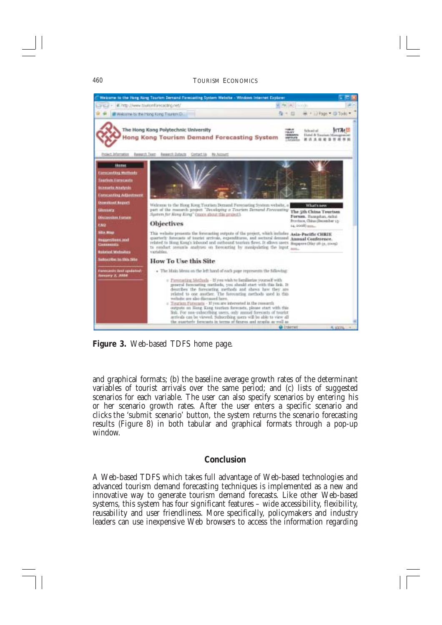#### **TOURISM ECONOMICS**



Figure 3. Web-based TDFS home page.

and graphical formats; (b) the baseline average growth rates of the determinant variables of tourist arrivals over the same period; and (c) lists of suggested scenarios for each variable. The user can also specify scenarios by entering his or her scenario growth rates. After the user enters a specific scenario and clicks the 'submit scenario' button, the system returns the scenario forecasting results (Figure 8) in both tabular and graphical formats through a pop-up window

# Conclusion

A Web-based TDFS which takes full advantage of Web-based technologies and advanced tourism demand forecasting techniques is implemented as a new and innovative way to generate tourism demand forecasts. Like other Web-based systems, this system has four significant features - wide accessibility, flexibility, reusability and user friendliness. More specifically, policymakers and industry leaders can use inexpensive Web browsers to access the information regarding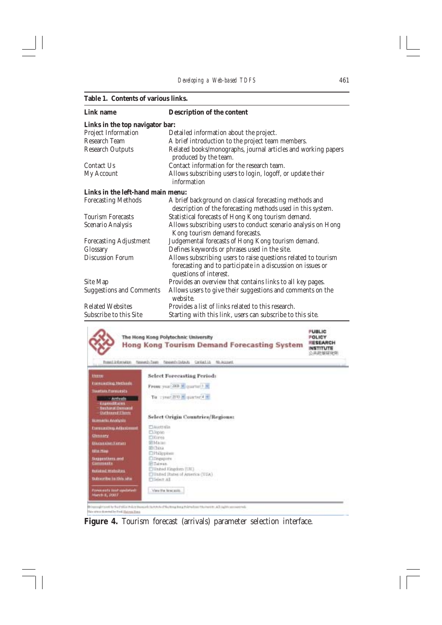#### Table 1. Contents of various links.

| Link name                         | Description of the content                                                                                                                              |
|-----------------------------------|---------------------------------------------------------------------------------------------------------------------------------------------------------|
| Links in the top navigator bar:   |                                                                                                                                                         |
| Project Information               | Detailed information about the project.                                                                                                                 |
| Research Team                     | A brief introduction to the project team members.                                                                                                       |
| <b>Research Outputs</b>           | Related books/monographs, journal articles and working papers<br>produced by the team.                                                                  |
| Contact Us                        | Contact information for the research team.                                                                                                              |
| My Account                        | Allows subscribing users to login, logoff, or update their<br>information                                                                               |
| Links in the left-hand main menu: |                                                                                                                                                         |
| <b>Forecasting Methods</b>        | A brief background on classical forecasting methods and<br>description of the forecasting methods used in this system.                                  |
| <b>Tourism Forecasts</b>          | Statistical forecasts of Hong Kong tourism demand.                                                                                                      |
| Scenario Analysis                 | Allows subscribing users to conduct scenario analysis on Hong<br>Kong tourism demand forecasts.                                                         |
| <b>Forecasting Adjustment</b>     | Judgemental forecasts of Hong Kong tourism demand.                                                                                                      |
| Glossary                          | Defines keywords or phrases used in the site.                                                                                                           |
| <b>Discussion Forum</b>           | Allows subscribing users to raise questions related to tourism<br>forecasting and to participate in a discussion on issues or<br>questions of interest. |
| Site Map                          | Provides an overview that contains links to all key pages.                                                                                              |
| <b>Suggestions and Comments</b>   | Allows users to give their suggestions and comments on the<br>website.                                                                                  |
| <b>Related Websites</b>           | Provides a list of links related to this research.                                                                                                      |
| Subscribe to this Site            | Starting with this link, users can subscribe to this site.                                                                                              |



his oriens doesned by Ford Hatzan Bank

Figure 4. Tourism forecast (arrivals) parameter selection interface.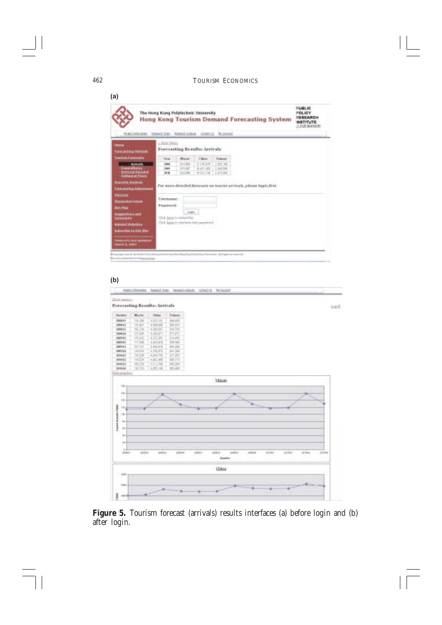$(a)$ PERMIT The Hong Kong Polytechnic University POLICY PERSANCH Hong Kong Tourism Demand Forecasting System **INSTITUTE** 6.共和国研究所 forciditions mast take family and color to appear v Hole Mesia Forecasting Results: Arrivals Maries<sup>1</sup> China. Sidney **District Side** 9.688 11,95,978 1.00.10 7,50,9%  $\overline{\phantom{a}}$ 329.687 8,63,388  $+211.28$ Toy ON **DETA** 2,373,530 For more distailed forecants on tourist arrivals, please login first. Usersone: Password: Light ... GM, http://aduction Cirk kata to retrieve lost payceurd qui und in da frattu frito in consistenti nei rifici Regi inspirito più a la centro al linglei un manezzi. a kainakumal diasarasa

#### $(b)$



Figure 5. Tourism forecast (arrivals) results interfaces (a) before login and (b) after login.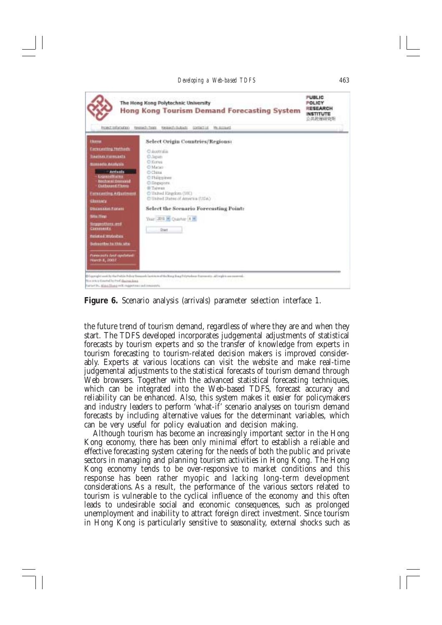

Figure 6. Scenario analysis (arrivals) parameter selection interface 1.

the future trend of tourism demand, regardless of where they are and when they start. The TDFS developed incorporates judgemental adjustments of statistical forecasts by tourism experts and so the transfer of knowledge from experts in tourism forecasting to tourism-related decision makers is improved considerably. Experts at various locations can visit the website and make real-time judgemental adjustments to the statistical forecasts of tourism demand through Web browsers. Together with the advanced statistical forecasting techniques, which can be integrated into the Web-based TDFS, forecast accuracy and reliability can be enhanced. Also, this system makes it easier for policymakers and industry leaders to perform 'what-if' scenario analyses on tourism demand forecasts by including alternative values for the determinant variables, which can be very useful for policy evaluation and decision making.

Although tourism has become an increasingly important sector in the Hong Kong economy, there has been only minimal effort to establish a reliable and effective forecasting system catering for the needs of both the public and private sectors in managing and planning tourism activities in Hong Kong. The Hong Kong economy tends to be over-responsive to market conditions and this response has been rather myopic and lacking long-term development considerations. As a result, the performance of the various sectors related to tourism is vulnerable to the cyclical influence of the economy and this often leads to undesirable social and economic consequences, such as prolonged unemployment and inability to attract foreign direct investment. Since tourism in Hong Kong is particularly sensitive to seasonality, external shocks such as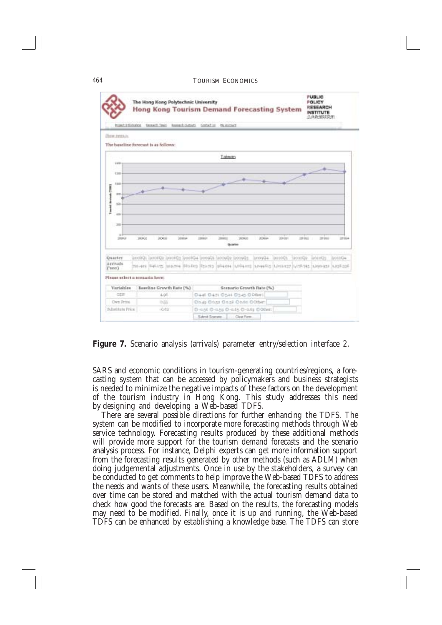

Figure 7. Scenario analysis (arrivals) parameter entry/selection interface 2.

SARS and economic conditions in tourism-generating countries/regions, a forecasting system that can be accessed by policymakers and business strategists is needed to minimize the negative impacts of these factors on the development of the tourism industry in Hong Kong. This study addresses this need by designing and developing a Web-based TDFS.

There are several possible directions for further enhancing the TDFS. The system can be modified to incorporate more forecasting methods through Web service technology. Forecasting results produced by these additional methods will provide more support for the tourism demand forecasts and the scenario analysis process. For instance, Delphi experts can get more information support from the forecasting results generated by other methods (such as ADLM) when doing judgemental adjustments. Once in use by the stakeholders, a survey can be conducted to get comments to help improve the Web-based TDFS to address the needs and wants of these users. Meanwhile, the forecasting results obtained over time can be stored and matched with the actual tourism demand data to check how good the forecasts are. Based on the results, the forecasting models may need to be modified. Finally, once it is up and running, the Web-based TDFS can be enhanced by establishing a knowledge base. The TDFS can store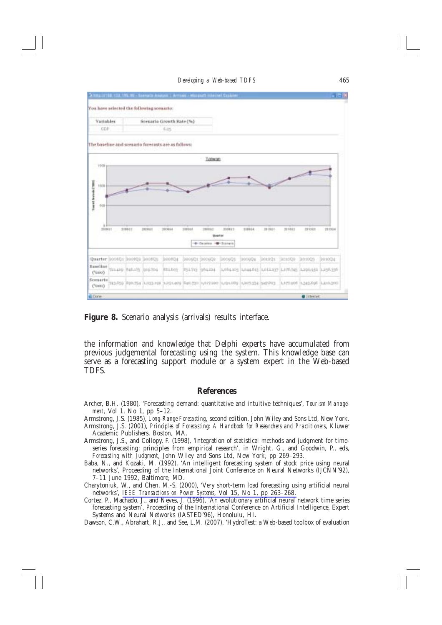

Figure 8. Scenario analysis (arrivals) results interface.

the information and knowledge that Delphi experts have accumulated from previous judgemental forecasting using the system. This knowledge base can serve as a forecasting support module or a system expert in the Web-based TDFS.

#### **References**

Archer, B.H. (1980), 'Forecasting demand: quantitative and intuitive techniques', Tourism Manage*ment*, Vol 1, No 1, pp 5–12.

Armstrong, J.S. (1985), Long-Range Forecasting, second edition, John Wiley and Sons Ltd, New York.

- Armstrong, J.S. (2001), *Principles of Forecasting: A Handbook for Researchers and Practitioners*, Kluwer Academic Publishers, Boston, MA.
- Armstrong, J.S., and Collopy, F. (1998), 'Integration of statistical methods and judgment for timeseries forecasting: principles from empirical research', in Wright, G., and Goodwin, P., eds, Forecasting with Judgment, John Wiley and Sons Ltd, New York, pp 269–293.
- Baba, N., and Kozaki, M. (1992), 'An intelligent forecasting system of stock price using neural networks', Proceeding of the International Joint Conference on Neural Networks (IJCNN'92), 7-11 June 1992, Baltimore, MD.
- Charytoniuk, W., and Chen, M.-S. (2000), 'Very short-term load forecasting using artificial neural networks', IEEE Transactions on Power Systems, Vol 15, No 1, pp 263-268.
- Cortez, P., Machado, J., and Neves, J. (1996), 'An evolutionary artificial neural network time series forecasting system', Proceeding of the International Conference on Artificial Intelligence, Expert Systems and Neural Networks (IASTED'96), Honolulu, HI.
- Dawson, C.W., Abrahart, R.J., and See, L.M. (2007), 'HydroTest: a Web-based toolbox of evaluation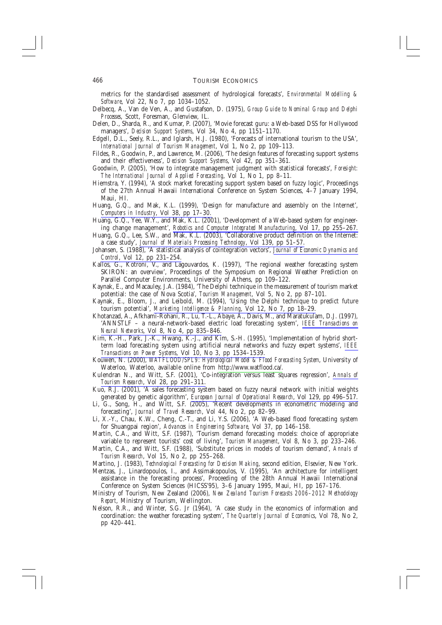metrics for the standardised assessment of hydrological forecasts', *Environmental Modelling &* Software, Vol 22, No 7, pp 1034-1052.

- Delbecq, A., Van de Ven, A., and Gustafson, D. (1975), Group Guide to Nominal Group and Delphi Processes, Scott, Foresman, Glenview, IL.
- Delen, D., Sharda, R., and Kumar, P. (2007), 'Movie forecast guru: a Web-based DSS for Hollywood managers', Decision Support Systems, Vol 34, No 4, pp 1151-1170.
- Edgell, D.L., Seely, R.L., and Iglarsh, H.J. (1980), 'Forecasts of international tourism to the USA', International Journal of Tourism Management, Vol 1, No 2, pp 109-113.
- Fildes, R., Goodwin, P., and Lawrence, M. (2006), 'The design features of forecasting support systems and their effectiveness', Decision Support Systems, Vol 42, pp 351-361.
- Goodwin, P. (2005), 'How to integrate management judgment with statistical forecasts', Foresight: The International Journal of Applied Forecasting, Vol 1, No 1, pp 8–11.
- Hiemstra, Y. (1994), 'A stock market forecasting support system based on fuzzy logic', Proceedings of the 27th Annual Hawaii International Conference on System Sciences, 4-7 January 1994, Maui. HI.
- Huang, G.Q., and Mak, K.L. (1999), 'Design for manufacture and assembly on the Internet', Computers in Industry, Vol 38, pp 17-30.
- Huang, G.Q., Yee, W.Y., and Mak, K.L. (2001), 'Development of a Web-based system for engineering change management', Robotics and Computer Integrated Manufacturing, Vol 17, pp 255-267.
- Huang, G.Q., Lee, S.W., and Mak, K.L. (2003), 'Collaborative product definition on the Internet: a case study', Journal of Materials Processing Technology, Vol 139, pp 51-57.
- Johansen, S. (1988), 'A statistical analysis of cointegration vectors', Journal of Economic Dynamics and Control, Vol 12, pp 231-254.
- Kallos, G., Kotroni, V., and Lagouvardos, K. (1997), 'The regional weather forecasting system SKIRON: an overview', Proceedings of the Symposium on Regional Weather Prediction on Parallel Computer Environments, University of Athens, pp 109-122.
- Kaynak, E., and Macauley, J.A. (1984), 'The Delphi technique in the measurement of tourism market potential: the case of Nova Scotia', Tourism Management, Vol 5, No 2, pp 87-101.
- Kaynak, E., Bloom, J., and Leibold, M. (1994), 'Using the Delphi technique to predict future tourism potential', Marketing Intelligence & Planning, Vol 12, No 7, pp 18-29.
- Khotanzad, A., Afkhami-Rohani, R., Lu, T.-L., Abaye, A., Davis, M., and Maratukulam, D.J. (1997), 'ANNSTLF - a neural-network-based electric load forecasting system', IEEE Transactions on Neural Networks, Vol 8, No 4, pp 835-846.
- Kim, K.-H., Park, J.-K., Hwang, K.-J., and Kim, S.-H. (1995), 'Implementation of hybrid shortterm load forecasting system using artificial neural networks and fuzzy expert systems', IEEE Transactions on Power Systems, Vol 10, No 3, pp 1534-1539.
- Kouwen, N. (2000), WATFLOOD/SPL9: Hydrological Model & Flood Forecasting System, University of Waterloo, Waterloo, available online from http://www.watflood.ca/.
- Kulendran N., and Witt, S.F. (2001), 'Co-integration versus least squares regression', Annals of Tourism Research, Vol 28, pp 291-311.
- Kuo, R.J. (2001), 'A sales forecasting system based on fuzzy neural network with initial weights generated by genetic algorithm', European Journal of Operational Research, Vol 129, pp 496-517.
- Li, G., Song, H., and Witt, S.F. (2005), 'Recent developments in econometric modeling and forecasting', Journal of Travel Research, Vol 44, No 2, pp 82-99.
- Li, X.-Y., Chau, K.W., Cheng, C.-T., and Li, Y.S. (2006), 'A Web-based flood forecasting system for Shuangpai region', Advances in Engineering Software, Vol 37, pp 146-158.
- Martin, C.A., and Witt, S.F. (1987), 'Tourism demand forecasting models: choice of appropriate variable to represent tourists' cost of living', Tourism Management, Vol 8, No 3, pp 233-246.
- Martin, C.A., and Witt, S.F. (1988), 'Substitute prices in models of tourism demand', Annals of Tourism Research, Vol 15, No 2, pp 255–268.
- Martino, J. (1983), Technological Forecasting for Decision Making, second edition, Elsevier, New York.
- Mentzas, J., Linardopoulos, I., and Assimakopoulos, V. (1995), 'An architecture for intelligent assistance in the forecasting process', Proceeding of the 28th Annual Hawaii International Conference on System Sciences (HICSS'95), 3-6 January 1995, Maui, HI, pp 167-176.
- Ministry of Tourism, New Zealand (2006), New Zealand Tourism Forecasts 2006-2012 Methodology Report, Ministry of Tourism, Wellington.
- Nelson, R.R., and Winter, S.G. Jr (1964), 'A case study in the economics of information and coordination: the weather forecasting system', The Quarterly Journal of Economics, Vol 78, No 2, pp 420-441.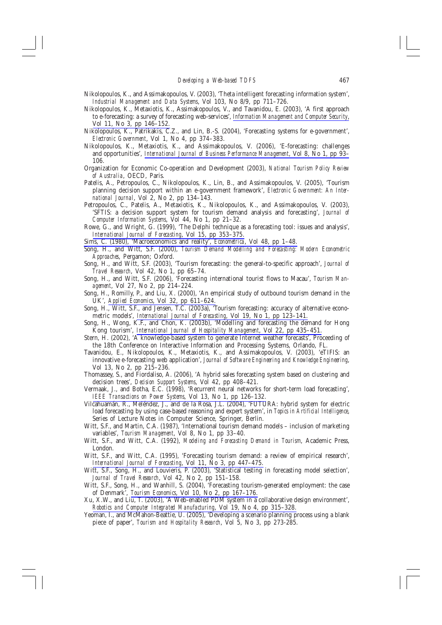- Nikolopoulos, K., and Assimakopoulos, V. (2003), 'Theta intelligent forecasting information system', Industrial Management and Data Systems, Vol 103, No 8/9, pp 711–726.
- Nikolopoulos, K., Metaxiotis, K., Assimakopoulos, V., and Tavanidou, E. (2003), 'A first approach to e-forecasting: a survey of forecasting web-services', Information Management and Computer Security, Vol 11, No 3, pp 146-152.
- Nikolopoulos, K., Patrikakis, C.Z., and Lin, B.-S. (2004), 'Forecasting systems for e-government', Electronic Government, Vol 1, No 4, pp 374-383.
- Nikolopoulos, K., Metaxiotis, K., and Assimakopoulos, V. (2006), 'E-forecasting: challenges and opportunities', International Journal of Business Performance Management, Vol 8, No 1, pp 93– 106.
- Organization for Economic Co-operation and Development (2003), National Tourism Policy Review of Australia, OECD, Paris.
- Patelis, A., Petropoulos, C., Nikolopoulos, K., Lin, B., and Assimakopoulos, V. (2005), 'Tourism planning decision support within an e-government framework', Electronic Government: An International Journal, Vol 2, No 2, pp 134-143.
- Petropoulos, C., Patelis, A., Metaxiotis, K., Nikolopoulos, K., and Assimakopoulos, V. (2003), 'SFTIS: a decision support system for tourism demand analysis and forecasting', Journal of Computer Information Systems, Vol 44, No 1, pp 21-32.
- Rowe, G., and Wright, G. (1999), 'The Delphi technique as a forecasting tool: issues and analysis', International Journal of Forecasting, Vol 15, pp 353-375.
- Sims, C. (1980), 'Macroeconomics and reality', *Econometrica*, Vol 48, pp 1-48.
- Song, H., and Witt, S.F. (2000), Tourism Demand Modelling and Forecasting: Modern Econometric Approaches, Pergamon; Oxford.
- Song, H., and Witt, S.F. (2003), 'Tourism forecasting: the general-to-specific approach', Journal of Travel Research, Vol 42, No 1, pp 65-74.
- Song, H., and Witt, S.F. (2006), 'Forecasting international tourist flows to Macau', Tourism Man*agement*, Vol 27, No 2, pp 214-224.
- Song, H., Romilly, P., and Liu, X. (2000), 'An empirical study of outbound tourism demand in the UK', Applied Economics, Vol 32, pp 611-624.
- Song, H., Witt, S.F., and Jensen, T.C. (2003a), "Tourism forecasting: accuracy of alternative econometric models', *International Journal of Forecasting*, Vol 19, No 1, pp 123-141.
- Song, H., Wong, K.F., and Chon, K. (2003b), 'Modelling and forecasting the demand for Hong Kong tourism', International Journal of Hospitality Management, Vol 22, pp 435-451.
- Stern, H. (2002), 'A knowledge-based system to generate Internet weather forecasts', Proceeding of the 18th Conference on Interactive Information and Processing Systems, Orlando, FL.
- Tavanidou, E., Nikolopoulos, K., Metaxiotis, K., and Assimakopoulos, V. (2003), 'eTIFIS: an innovative e-forecasting web application', Journal of Software Engineering and Knowledge Engineering, Vol 13, No 2, pp 215-236.
- Thomassey, S., and Fiordaliso, A. (2006), 'A hybrid sales forecasting system based on clustering and decision trees', Decision Support Systems, Vol 42, pp 408-421.
- Vermaak, J., and Botha, E.C. (1998), 'Recurrent neural networks for short-term load forecasting', IEEE Transactions on Power Systems, Vol 13, No 1, pp 126-132.
- Vilcahuamán, R., Meléndez, J., and de la Rosa, J.L. (2004), 'FUTURA: hybrid system for electric load forecasting by using case-based reasoning and expert system', in Topics in Artificial Intelligence, Series of Lecture Notes in Computer Science, Springer, Berlin.
- Witt, S.F., and Martin, C.A. (1987), 'International tourism demand models inclusion of marketing variables', Tourism Management, Vol 8, No 1, pp 33-40.
- Witt, S.F., and Witt, C.A. (1992), Modeling and Forecasting Demand in Tourism, Academic Press, London.
- Witt, S.F., and Witt, C.A. (1995), 'Forecasting tourism demand: a review of empirical research', International Journal of Forecasting, Vol 11, No 3, pp 447-475.
- Witt, S.F., Song, H., and Louvieris, P. (2003), 'Statistical testing in forecasting model selection', Journal of Travel Research, Vol 42, No 2, pp 151–158.
- Witt, S.F., Song, H., and Wanhill, S. (2004), 'Forecasting tourism-generated employment: the case of Denmark<sup>7</sup>, Tourism Economics, Vol 10, No 2, pp 167-176.
- Xu, X.W., and Liu, T. (2003), 'A Web-enabled PDM system in a collaborative design environment', Robotics and Computer Integrated Manufacturing, Vol 19, No 4, pp 315-328.
- Yeoman, I., and McMahon-Beattie, U. (2005), 'Developing a scenario planning process using a blank piece of paper', Tourism and Hospitality Research, Vol 5, No 3, pp 273-285.